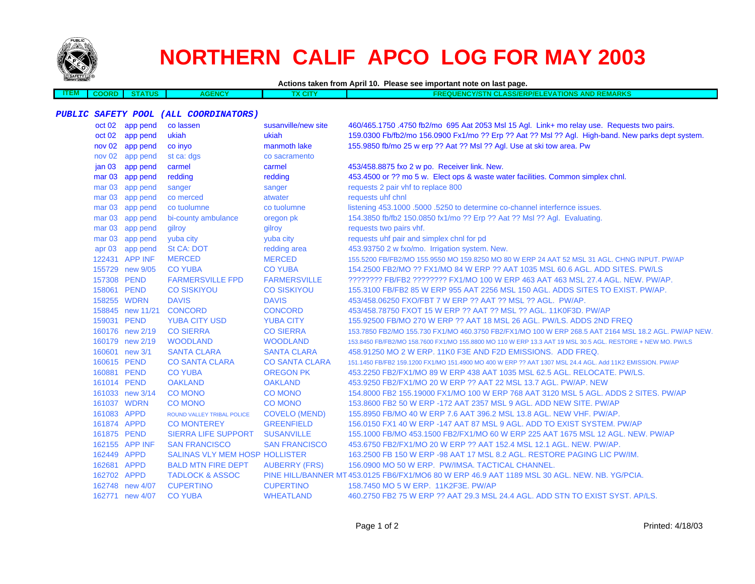

# **NORTHERN CALIF APCO LOG FOR MAY 2003**

| Actions taken from April 10. Please see important note on last page. |  |
|----------------------------------------------------------------------|--|
|                                                                      |  |

| TEM | <b>COORD</b> | <b>STATUS</b> | AIC' |  | EVATIONS A<br><b>AND REMARKS</b><br><b>Y/STN CLASS/ERP/EL</b><br><b>SEQUENCE</b> |
|-----|--------------|---------------|------|--|----------------------------------------------------------------------------------|
|     |              |               |      |  |                                                                                  |

#### **PUBLIC SAFETY POOL (ALL COORDINATORS)**

|                   | oct 02 app pend  | co lassen                      | susanville/new site   | 460/465.1750.4750 fb2/mo 695 Aat 2053 Msl 15 Agl. Link+ mo relay use. Requests two pairs.                  |
|-------------------|------------------|--------------------------------|-----------------------|------------------------------------------------------------------------------------------------------------|
|                   | oct 02 app pend  | ukiah                          | ukiah                 | 159.0300 Fb/fb2/mo 156.0900 Fx1/mo ?? Erp ?? Aat ?? Msl ?? Agl. High-band. New parks dept system.          |
|                   | nov 02 app pend  | co invo                        | manmoth lake          | 155.9850 fb/mo 25 w erp ?? Aat ?? Msl ?? Agl. Use at ski tow area. Pw                                      |
|                   | nov 02 app pend  | st ca: dgs                     | co sacramento         |                                                                                                            |
| jan <sub>03</sub> | app pend         | carmel                         | carmel                | 453/458.8875 fxo 2 w po. Receiver link. New.                                                               |
| mar <sub>03</sub> | app pend         | redding                        | redding               | 453.4500 or ?? mo 5 w. Elect ops & waste water facilities. Common simplex chnl.                            |
| mar <sub>03</sub> | app pend         | sanger                         | sanger                | requests 2 pair vhf to replace 800                                                                         |
| mar <sub>03</sub> | app pend         | co merced                      | atwater               | requests uhf chnl                                                                                          |
| mar <sub>03</sub> | app pend         | co tuolumne                    | co tuolumne           | listening 453.1000 .5000 .5250 to determine co-channel interfernce issues.                                 |
| mar <sub>03</sub> | app pend         | bi-county ambulance            | oregon pk             | 154.3850 fb/fb2 150.0850 fx1/mo ?? Erp ?? Aat ?? Msl ?? Agl. Evaluating.                                   |
| mar <sub>03</sub> | app pend         | gilroy                         | gilroy                | requests two pairs vhf.                                                                                    |
| mar <sub>03</sub> | app pend         | yuba city                      | yuba city             | requests uhf pair and simplex chnl for pd                                                                  |
| apr $03$          | app pend         | <b>St CA: DOT</b>              | redding area          | 453.93750 2 w fxo/mo. Irrigation system. New.                                                              |
|                   | 122431 APP INF   | <b>MERCED</b>                  | <b>MERCED</b>         | 155,5200 FB/FB2/MO 155,9550 MO 159,8250 MO 80 W ERP 24 AAT 52 MSL 31 AGL, CHNG INPUT, PW/AP                |
|                   | 155729 new 9/05  | <b>CO YUBA</b>                 | <b>CO YUBA</b>        | 154,2500 FB2/MO ?? FX1/MO 84 W ERP ?? AAT 1035 MSL 60.6 AGL, ADD SITES, PW/LS                              |
| 157308 PEND       |                  | <b>FARMERSVILLE FPD</b>        | <b>FARMERSVILLE</b>   | ???????? FB/FB2 ???????? FX1/MO 100 W ERP 463 AAT 463 MSL 27.4 AGL. NEW. PW/AP.                            |
| 158061 PEND       |                  | <b>CO SISKIYOU</b>             | <b>CO SISKIYOU</b>    | 155.3100 FB/FB2 85 W ERP 955 AAT 2256 MSL 150 AGL. ADDS SITES TO EXIST. PW/AP.                             |
| 158255 WDRN       |                  | <b>DAVIS</b>                   | <b>DAVIS</b>          | 453/458.06250 FXO/FBT 7 W ERP ?? AAT ?? MSL ?? AGL. PW/AP.                                                 |
|                   | 158845 new 11/21 | <b>CONCORD</b>                 | <b>CONCORD</b>        | 453/458.78750 FXOT 15 W ERP ?? AAT ?? MSL ?? AGL. 11K0F3D. PW/AP                                           |
| 159031 PEND       |                  | <b>YUBA CITY USD</b>           | <b>YUBA CITY</b>      | 155.92500 FB/MO 270 W ERP ?? AAT 18 MSL 26 AGL. PW/LS. ADDS 2ND FREQ                                       |
|                   | 160176 new 2/19  | <b>CO SIERRA</b>               | <b>CO SIERRA</b>      | 153.7850 FB2/MO 155.730 FX1/MO 460.3750 FB2/FX1/MO 100 W ERP 268.5 AAT 2164 MSL 18.2 AGL. PW/AP NEW.       |
|                   | 160179 new 2/19  | <b>WOODLAND</b>                | <b>WOODLAND</b>       | 153.8450 FB/FB2/MO 158.7600 FX1/MO 155.8800 MO 110 W ERP 13.3 AAT 19 MSL 30.5 AGL. RESTORE + NEW MO. PW/LS |
|                   | 160601 new 3/1   | <b>SANTA CLARA</b>             | <b>SANTA CLARA</b>    | 458,91250 MO 2 W ERP, 11K0 F3E AND F2D EMISSIONS. ADD FREQ.                                                |
| 160615 PEND       |                  | <b>CO SANTA CLARA</b>          | <b>CO SANTA CLARA</b> | 151.1450 FB/FB2 159.1200 FX1/MO 151.4900 MO 400 W ERP ?? AAT 1307 MSL 24.4 AGL. Add 11K2 EMISSION. PW/AP   |
| 160881 PEND       |                  | <b>CO YUBA</b>                 | <b>OREGON PK</b>      | 453.2250 FB2/FX1/MO 89 W ERP 438 AAT 1035 MSL 62.5 AGL. RELOCATE. PW/LS.                                   |
| 161014 PEND       |                  | <b>OAKLAND</b>                 | <b>OAKLAND</b>        | 453.9250 FB2/FX1/MO 20 W ERP ?? AAT 22 MSL 13.7 AGL, PW/AP, NEW                                            |
|                   | 161033 new 3/14  | <b>CO MONO</b>                 | <b>CO MONO</b>        | 154,8000 FB2 155,19000 FX1/MO 100 W ERP 768 AAT 3120 MSL 5 AGL, ADDS 2 SITES, PW/AP                        |
| 161037 WDRN       |                  | <b>CO MONO</b>                 | <b>CO MONO</b>        | 153.8600 FB2 50 W ERP -172 AAT 2357 MSL 9 AGL. ADD NEW SITE, PW/AP                                         |
| 161083 APPD       |                  | ROUND VALLEY TRIBAL POLICE     | <b>COVELO (MEND)</b>  | 155.8950 FB/MO 40 W ERP 7.6 AAT 396.2 MSL 13.8 AGL. NEW VHF. PW/AP.                                        |
| 161874 APPD       |                  | <b>CO MONTEREY</b>             | <b>GREENFIELD</b>     | 156.0150 FX1 40 W ERP -147 AAT 87 MSL 9 AGL. ADD TO EXIST SYSTEM. PW/AP                                    |
| 161875 PEND       |                  | SIERRA LIFE SUPPORT            | <b>SUSANVILLE</b>     | 155,1000 FB/MO 453,1500 FB2/FX1/MO 60 W ERP 225 AAT 1675 MSL 12 AGL, NEW, PW/AP                            |
|                   | 162155 APP INF   | <b>SAN FRANCISCO</b>           | <b>SAN FRANCISCO</b>  | 453.6750 FB2/FX1/MO 20 W ERP ?? AAT 152.4 MSL 12.1 AGL. NEW. PW/AP.                                        |
| 162449 APPD       |                  | SALINAS VLY MEM HOSP HOLLISTER |                       | 163.2500 FB 150 W ERP -98 AAT 17 MSL 8.2 AGL. RESTORE PAGING LIC PW/IM.                                    |
| 162681 APPD       |                  | <b>BALD MTN FIRE DEPT</b>      | <b>AUBERRY (FRS)</b>  | 156.0900 MO 50 W ERP. PW/IMSA. TACTICAL CHANNEL.                                                           |
| 162702 APPD       |                  | <b>TADLOCK &amp; ASSOC</b>     |                       | PINE HILL/BANNER MT 453.0125 FB6/FX1/MO6 80 W ERP 46.9 AAT 1189 MSL 30 AGL. NEW, NB, YG/PCIA.              |
|                   | 162748 new 4/07  | <b>CUPERTINO</b>               | <b>CUPERTINO</b>      | 158.7450 MO 5 W ERP. 11K2F3E. PW/AP                                                                        |
|                   | 162771 new 4/07  | <b>CO YUBA</b>                 | <b>WHEATLAND</b>      | 460.2750 FB2 75 W ERP ?? AAT 29.3 MSL 24.4 AGL. ADD STN TO EXIST SYST. AP/LS.                              |